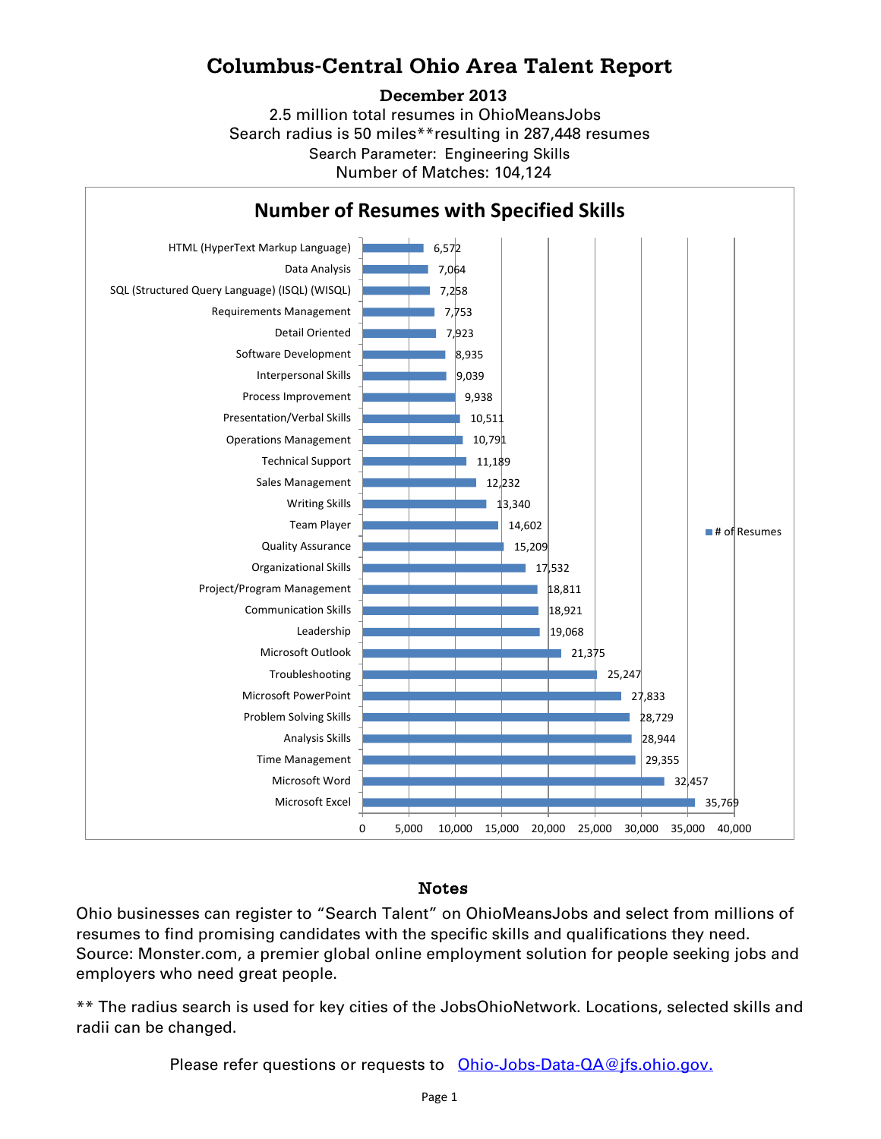## **Columbus-Central Ohio Area Talent Report**

#### **December 2013**

2.5 million total resumes in OhioMeansJobs Search radius is 50 miles\*\*resulting in 287,448 resumes Number of Matches: 104,124 Search Parameter: Engineering Skills



### Notes

Ohio businesses can register to "Search Talent" on OhioMeansJobs and select from millions of resumes to find promising candidates with the specific skills and qualifications they need. Source: Monster.com, a premier global online employment solution for people seeking jobs and employers who need great people.

\*\* The radius search is used for key cities of the JobsOhioNetwork. Locations, selected skills and radii can be changed.

Please refer questions or requests to [Ohio-Jobs-Data-QA@jfs.ohio.gov.](mailto:Ohio-Jobs-Data-QA@jfs.ohio.gov.)